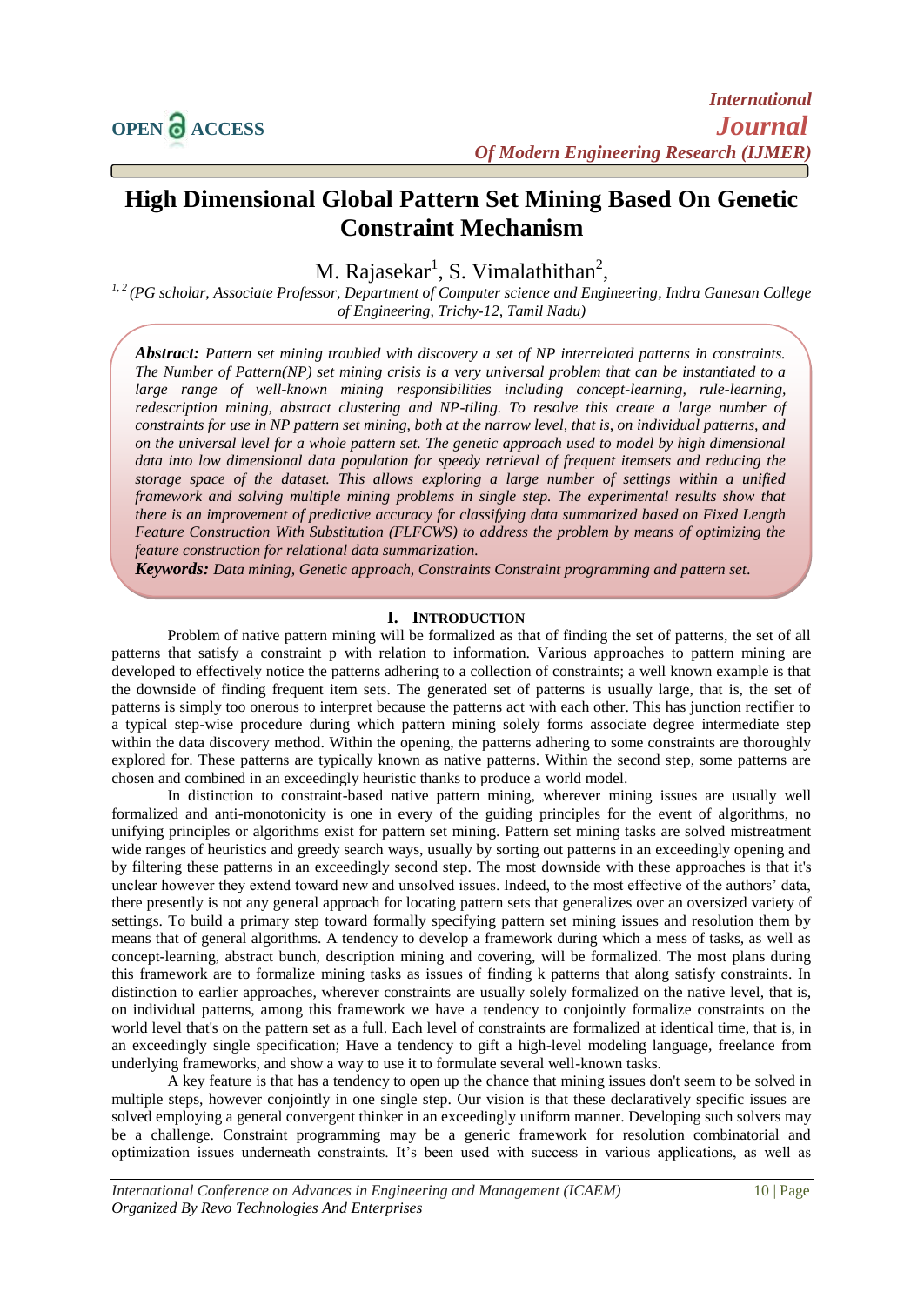mining**.**

# **High Dimensional Global Pattern Set Mining Based On Genetic Constraint Mechanism**

M. Rajasekar<sup>1</sup>, S. Vimalathithan<sup>2</sup>,

*1, 2 (PG scholar, Associate Professor, Department of Computer science and Engineering, Indra Ganesan College of Engineering, Trichy-12, Tamil Nadu)*

*Abstract: Pattern set mining troubled with discovery a set of NP interrelated patterns in constraints. The Number of Pattern(NP) set mining crisis is a very universal problem that can be instantiated to a*  large range of well-known mining responsibilities including concept-learning, rule-learning, *redescription mining, abstract clustering and NP-tiling. To resolve this create a large number of constraints for use in NP pattern set mining, both at the narrow level, that is, on individual patterns, and on the universal level for a whole pattern set. The genetic approach used to model by high dimensional data into low dimensional data population for speedy retrieval of frequent itemsets and reducing the storage space of the dataset. This allows exploring a large number of settings within a unified framework and solving multiple mining problems in single step. The experimental results show that there is an improvement of predictive accuracy for classifying data summarized based on Fixed Length Feature Construction With Substitution (FLFCWS) to address the problem by means of optimizing the feature construction for relational data summarization.*

*Keywords: Data mining, Genetic approach, Constraints Constraint programming and pattern set.*

#### **I. INTRODUCTION**

Problem of native pattern mining will be formalized as that of finding the set of patterns, the set of all patterns that satisfy a constraint p with relation to information. Various approaches to pattern mining are developed to effectively notice the patterns adhering to a collection of constraints; a well known example is that the downside of finding frequent item sets. The generated set of patterns is usually large, that is, the set of patterns is simply too onerous to interpret because the patterns act with each other. This has junction rectifier to a typical step-wise procedure during which pattern mining solely forms associate degree intermediate step within the data discovery method. Within the opening, the patterns adhering to some constraints are thoroughly explored for. These patterns are typically known as native patterns. Within the second step, some patterns are chosen and combined in an exceedingly heuristic thanks to produce a world model.

In distinction to constraint-based native pattern mining, wherever mining issues are usually well formalized and anti-monotonicity is one in every of the guiding principles for the event of algorithms, no unifying principles or algorithms exist for pattern set mining. Pattern set mining tasks are solved mistreatment wide ranges of heuristics and greedy search ways, usually by sorting out patterns in an exceedingly opening and by filtering these patterns in an exceedingly second step. The most downside with these approaches is that it's unclear however they extend toward new and unsolved issues. Indeed, to the most effective of the authors' data, there presently is not any general approach for locating pattern sets that generalizes over an oversized variety of settings. To build a primary step toward formally specifying pattern set mining issues and resolution them by means that of general algorithms. A tendency to develop a framework during which a mess of tasks, as well as concept-learning, abstract bunch, description mining and covering, will be formalized. The most plans during this framework are to formalize mining tasks as issues of finding k patterns that along satisfy constraints. In distinction to earlier approaches, wherever constraints are usually solely formalized on the native level, that is, on individual patterns, among this framework we have a tendency to conjointly formalize constraints on the world level that's on the pattern set as a full. Each level of constraints are formalized at identical time, that is, in an exceedingly single specification; Have a tendency to gift a high-level modeling language, freelance from underlying frameworks, and show a way to use it to formulate several well-known tasks.

A key feature is that has a tendency to open up the chance that mining issues don't seem to be solved in multiple steps, however conjointly in one single step. Our vision is that these declaratively specific issues are solved employing a general convergent thinker in an exceedingly uniform manner. Developing such solvers may be a challenge. Constraint programming may be a generic framework for resolution combinatorial and optimization issues underneath constraints. It's been used with success in various applications, as well as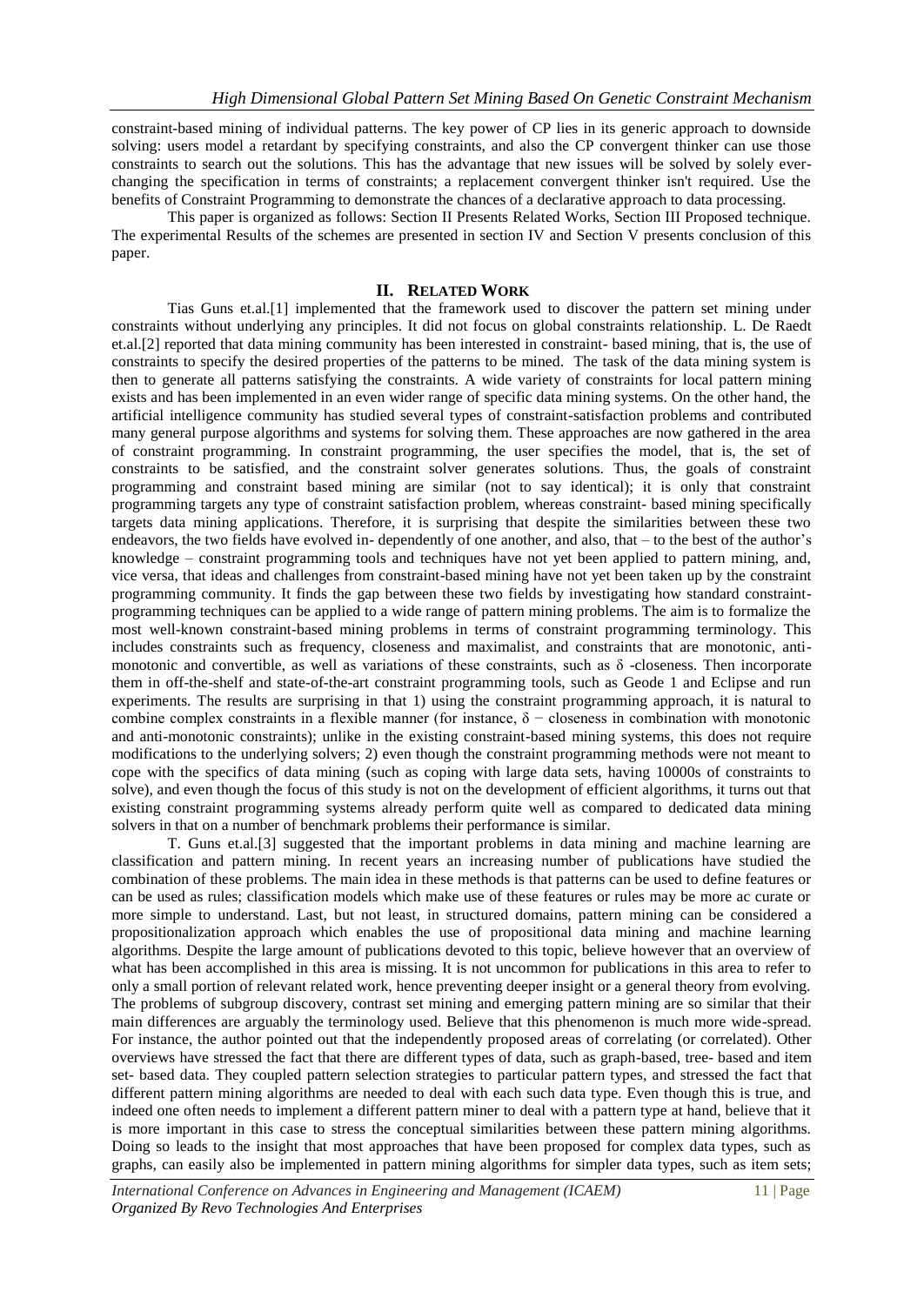constraint-based mining of individual patterns. The key power of CP lies in its generic approach to downside solving: users model a retardant by specifying constraints, and also the CP convergent thinker can use those constraints to search out the solutions. This has the advantage that new issues will be solved by solely everchanging the specification in terms of constraints; a replacement convergent thinker isn't required. Use the benefits of Constraint Programming to demonstrate the chances of a declarative approach to data processing.

This paper is organized as follows: Section II Presents Related Works, Section III Proposed technique. The experimental Results of the schemes are presented in section IV and Section V presents conclusion of this paper.

#### **II. RELATED WORK**

Tias Guns et.al.[1] implemented that the framework used to discover the pattern set mining under constraints without underlying any principles. It did not focus on global constraints relationship. L. De Raedt et.al.[2] reported that data mining community has been interested in constraint- based mining, that is, the use of constraints to specify the desired properties of the patterns to be mined. The task of the data mining system is then to generate all patterns satisfying the constraints. A wide variety of constraints for local pattern mining exists and has been implemented in an even wider range of specific data mining systems. On the other hand, the artificial intelligence community has studied several types of constraint-satisfaction problems and contributed many general purpose algorithms and systems for solving them. These approaches are now gathered in the area of constraint programming. In constraint programming, the user specifies the model, that is, the set of constraints to be satisfied, and the constraint solver generates solutions. Thus, the goals of constraint programming and constraint based mining are similar (not to say identical); it is only that constraint programming targets any type of constraint satisfaction problem, whereas constraint- based mining specifically targets data mining applications. Therefore, it is surprising that despite the similarities between these two endeavors, the two fields have evolved in- dependently of one another, and also, that – to the best of the author's knowledge – constraint programming tools and techniques have not yet been applied to pattern mining, and, vice versa, that ideas and challenges from constraint-based mining have not yet been taken up by the constraint programming community. It finds the gap between these two fields by investigating how standard constraintprogramming techniques can be applied to a wide range of pattern mining problems. The aim is to formalize the most well-known constraint-based mining problems in terms of constraint programming terminology. This includes constraints such as frequency, closeness and maximalist, and constraints that are monotonic, antimonotonic and convertible, as well as variations of these constraints, such as  $\delta$  -closeness. Then incorporate them in off-the-shelf and state-of-the-art constraint programming tools, such as Geode 1 and Eclipse and run experiments. The results are surprising in that 1) using the constraint programming approach, it is natural to combine complex constraints in a flexible manner (for instance,  $\delta$  – closeness in combination with monotonic and anti-monotonic constraints); unlike in the existing constraint-based mining systems, this does not require modifications to the underlying solvers; 2) even though the constraint programming methods were not meant to cope with the specifics of data mining (such as coping with large data sets, having 10000s of constraints to solve), and even though the focus of this study is not on the development of efficient algorithms, it turns out that existing constraint programming systems already perform quite well as compared to dedicated data mining solvers in that on a number of benchmark problems their performance is similar.

T. Guns et.al.[3] suggested that the important problems in data mining and machine learning are classification and pattern mining. In recent years an increasing number of publications have studied the combination of these problems. The main idea in these methods is that patterns can be used to define features or can be used as rules; classification models which make use of these features or rules may be more ac curate or more simple to understand. Last, but not least, in structured domains, pattern mining can be considered a propositionalization approach which enables the use of propositional data mining and machine learning algorithms. Despite the large amount of publications devoted to this topic, believe however that an overview of what has been accomplished in this area is missing. It is not uncommon for publications in this area to refer to only a small portion of relevant related work, hence preventing deeper insight or a general theory from evolving. The problems of subgroup discovery, contrast set mining and emerging pattern mining are so similar that their main differences are arguably the terminology used. Believe that this phenomenon is much more wide-spread. For instance, the author pointed out that the independently proposed areas of correlating (or correlated). Other overviews have stressed the fact that there are different types of data, such as graph-based, tree- based and item set- based data. They coupled pattern selection strategies to particular pattern types, and stressed the fact that different pattern mining algorithms are needed to deal with each such data type. Even though this is true, and indeed one often needs to implement a different pattern miner to deal with a pattern type at hand, believe that it is more important in this case to stress the conceptual similarities between these pattern mining algorithms. Doing so leads to the insight that most approaches that have been proposed for complex data types, such as graphs, can easily also be implemented in pattern mining algorithms for simpler data types, such as item sets;

*International Conference on Advances in Engineering and Management (ICAEM)* 11 | Page *Organized By Revo Technologies And Enterprises*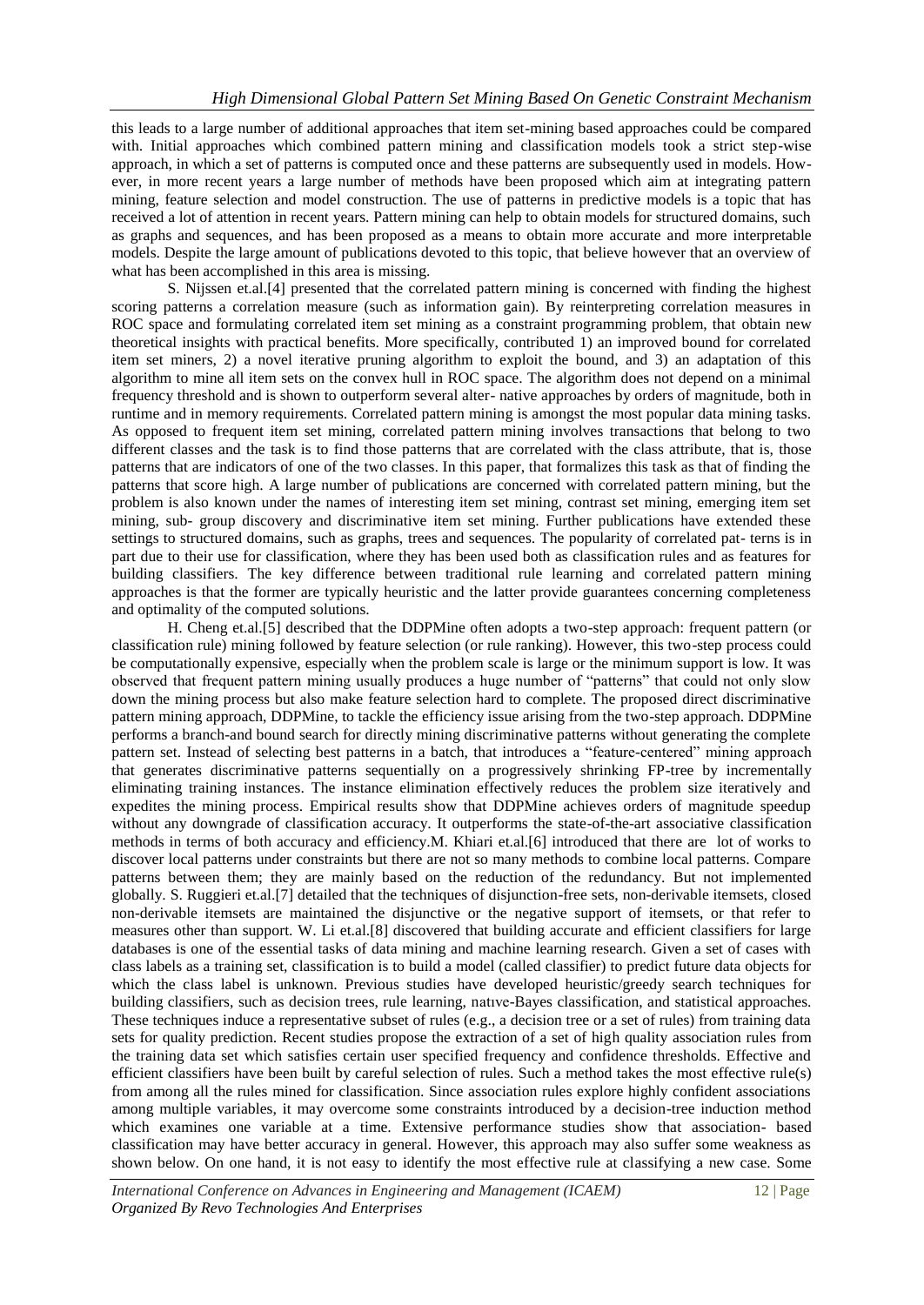this leads to a large number of additional approaches that item set-mining based approaches could be compared with. Initial approaches which combined pattern mining and classification models took a strict step-wise approach, in which a set of patterns is computed once and these patterns are subsequently used in models. However, in more recent years a large number of methods have been proposed which aim at integrating pattern mining, feature selection and model construction. The use of patterns in predictive models is a topic that has received a lot of attention in recent years. Pattern mining can help to obtain models for structured domains, such as graphs and sequences, and has been proposed as a means to obtain more accurate and more interpretable models. Despite the large amount of publications devoted to this topic, that believe however that an overview of what has been accomplished in this area is missing.

S. Nijssen et.al.[4] presented that the correlated pattern mining is concerned with finding the highest scoring patterns a correlation measure (such as information gain). By reinterpreting correlation measures in ROC space and formulating correlated item set mining as a constraint programming problem, that obtain new theoretical insights with practical benefits. More specifically, contributed 1) an improved bound for correlated item set miners, 2) a novel iterative pruning algorithm to exploit the bound, and 3) an adaptation of this algorithm to mine all item sets on the convex hull in ROC space. The algorithm does not depend on a minimal frequency threshold and is shown to outperform several alter- native approaches by orders of magnitude, both in runtime and in memory requirements. Correlated pattern mining is amongst the most popular data mining tasks. As opposed to frequent item set mining, correlated pattern mining involves transactions that belong to two different classes and the task is to find those patterns that are correlated with the class attribute, that is, those patterns that are indicators of one of the two classes. In this paper, that formalizes this task as that of finding the patterns that score high. A large number of publications are concerned with correlated pattern mining, but the problem is also known under the names of interesting item set mining, contrast set mining, emerging item set mining, sub- group discovery and discriminative item set mining. Further publications have extended these settings to structured domains, such as graphs, trees and sequences. The popularity of correlated pat- terns is in part due to their use for classification, where they has been used both as classification rules and as features for building classifiers. The key difference between traditional rule learning and correlated pattern mining approaches is that the former are typically heuristic and the latter provide guarantees concerning completeness and optimality of the computed solutions.

H. Cheng et.al.[5] described that the DDPMine often adopts a two-step approach: frequent pattern (or classification rule) mining followed by feature selection (or rule ranking). However, this two-step process could be computationally expensive, especially when the problem scale is large or the minimum support is low. It was observed that frequent pattern mining usually produces a huge number of "patterns" that could not only slow down the mining process but also make feature selection hard to complete. The proposed direct discriminative pattern mining approach, DDPMine, to tackle the efficiency issue arising from the two-step approach. DDPMine performs a branch-and bound search for directly mining discriminative patterns without generating the complete pattern set. Instead of selecting best patterns in a batch, that introduces a "feature-centered" mining approach that generates discriminative patterns sequentially on a progressively shrinking FP-tree by incrementally eliminating training instances. The instance elimination effectively reduces the problem size iteratively and expedites the mining process. Empirical results show that DDPMine achieves orders of magnitude speedup without any downgrade of classification accuracy. It outperforms the state-of-the-art associative classification methods in terms of both accuracy and efficiency.M. Khiari et.al.[6] introduced that there are lot of works to discover local patterns under constraints but there are not so many methods to combine local patterns. Compare patterns between them; they are mainly based on the reduction of the redundancy. But not implemented globally. S. Ruggieri et.al.[7] detailed that the techniques of disjunction-free sets, non-derivable itemsets, closed non-derivable itemsets are maintained the disjunctive or the negative support of itemsets, or that refer to measures other than support. W. Li et.al.[8] discovered that building accurate and efficient classifiers for large databases is one of the essential tasks of data mining and machine learning research. Given a set of cases with class labels as a training set, classification is to build a model (called classifier) to predict future data objects for which the class label is unknown. Previous studies have developed heuristic/greedy search techniques for building classifiers, such as decision trees, rule learning, natıve-Bayes classification, and statistical approaches. These techniques induce a representative subset of rules (e.g., a decision tree or a set of rules) from training data sets for quality prediction. Recent studies propose the extraction of a set of high quality association rules from the training data set which satisfies certain user specified frequency and confidence thresholds. Effective and efficient classifiers have been built by careful selection of rules. Such a method takes the most effective rule(s) from among all the rules mined for classification. Since association rules explore highly confident associations among multiple variables, it may overcome some constraints introduced by a decision-tree induction method which examines one variable at a time. Extensive performance studies show that association- based classification may have better accuracy in general. However, this approach may also suffer some weakness as shown below. On one hand, it is not easy to identify the most effective rule at classifying a new case. Some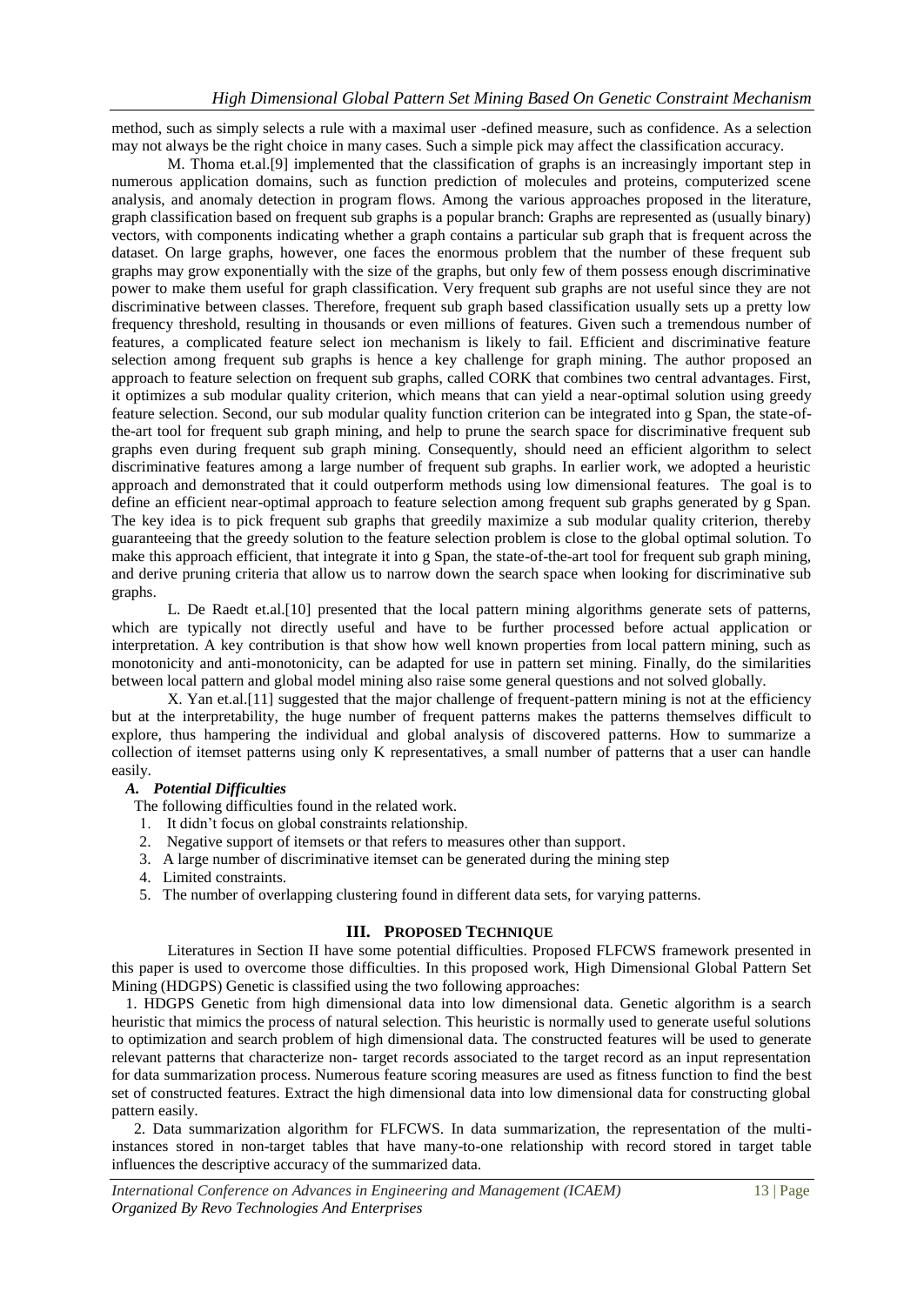method, such as simply selects a rule with a maximal user -defined measure, such as confidence. As a selection may not always be the right choice in many cases. Such a simple pick may affect the classification accuracy.

M. Thoma et.al.[9] implemented that the classification of graphs is an increasingly important step in numerous application domains, such as function prediction of molecules and proteins, computerized scene analysis, and anomaly detection in program flows. Among the various approaches proposed in the literature, graph classification based on frequent sub graphs is a popular branch: Graphs are represented as (usually binary) vectors, with components indicating whether a graph contains a particular sub graph that is frequent across the dataset. On large graphs, however, one faces the enormous problem that the number of these frequent sub graphs may grow exponentially with the size of the graphs, but only few of them possess enough discriminative power to make them useful for graph classification. Very frequent sub graphs are not useful since they are not discriminative between classes. Therefore, frequent sub graph based classification usually sets up a pretty low frequency threshold, resulting in thousands or even millions of features. Given such a tremendous number of features, a complicated feature select ion mechanism is likely to fail. Efficient and discriminative feature selection among frequent sub graphs is hence a key challenge for graph mining. The author proposed an approach to feature selection on frequent sub graphs, called CORK that combines two central advantages. First, it optimizes a sub modular quality criterion, which means that can yield a near-optimal solution using greedy feature selection. Second, our sub modular quality function criterion can be integrated into g Span, the state-ofthe-art tool for frequent sub graph mining, and help to prune the search space for discriminative frequent sub graphs even during frequent sub graph mining. Consequently, should need an efficient algorithm to select discriminative features among a large number of frequent sub graphs. In earlier work, we adopted a heuristic approach and demonstrated that it could outperform methods using low dimensional features. The goal is to define an efficient near-optimal approach to feature selection among frequent sub graphs generated by g Span. The key idea is to pick frequent sub graphs that greedily maximize a sub modular quality criterion, thereby guaranteeing that the greedy solution to the feature selection problem is close to the global optimal solution. To make this approach efficient, that integrate it into g Span, the state-of-the-art tool for frequent sub graph mining, and derive pruning criteria that allow us to narrow down the search space when looking for discriminative sub graphs.

L. De Raedt et.al.[10] presented that the local pattern mining algorithms generate sets of patterns, which are typically not directly useful and have to be further processed before actual application or interpretation. A key contribution is that show how well known properties from local pattern mining, such as monotonicity and anti-monotonicity, can be adapted for use in pattern set mining. Finally, do the similarities between local pattern and global model mining also raise some general questions and not solved globally.

X. Yan et.al.[11] suggested that the major challenge of frequent-pattern mining is not at the efficiency but at the interpretability, the huge number of frequent patterns makes the patterns themselves difficult to explore, thus hampering the individual and global analysis of discovered patterns. How to summarize a collection of itemset patterns using only K representatives, a small number of patterns that a user can handle easily.

# *A. Potential Difficulties*

The following difficulties found in the related work.

- 1. It didn't focus on global constraints relationship.
- 2. Negative support of itemsets or that refers to measures other than support.
- 3. A large number of discriminative itemset can be generated during the mining step
- 4. Limited constraints.
- 5. The number of overlapping clustering found in different data sets, for varying patterns.

# **III. PROPOSED TECHNIQUE**

Literatures in Section II have some potential difficulties. Proposed FLFCWS framework presented in this paper is used to overcome those difficulties. In this proposed work, High Dimensional Global Pattern Set Mining (HDGPS) Genetic is classified using the two following approaches:

1. HDGPS Genetic from high dimensional data into low dimensional data. Genetic algorithm is a search heuristic that mimics the process of natural selection. This heuristic is normally used to generate useful solutions to optimization and search problem of high dimensional data. The constructed features will be used to generate relevant patterns that characterize non- target records associated to the target record as an input representation for data summarization process. Numerous feature scoring measures are used as fitness function to find the best set of constructed features. Extract the high dimensional data into low dimensional data for constructing global pattern easily.

2. Data summarization algorithm for FLFCWS. In data summarization, the representation of the multiinstances stored in non-target tables that have many-to-one relationship with record stored in target table influences the descriptive accuracy of the summarized data.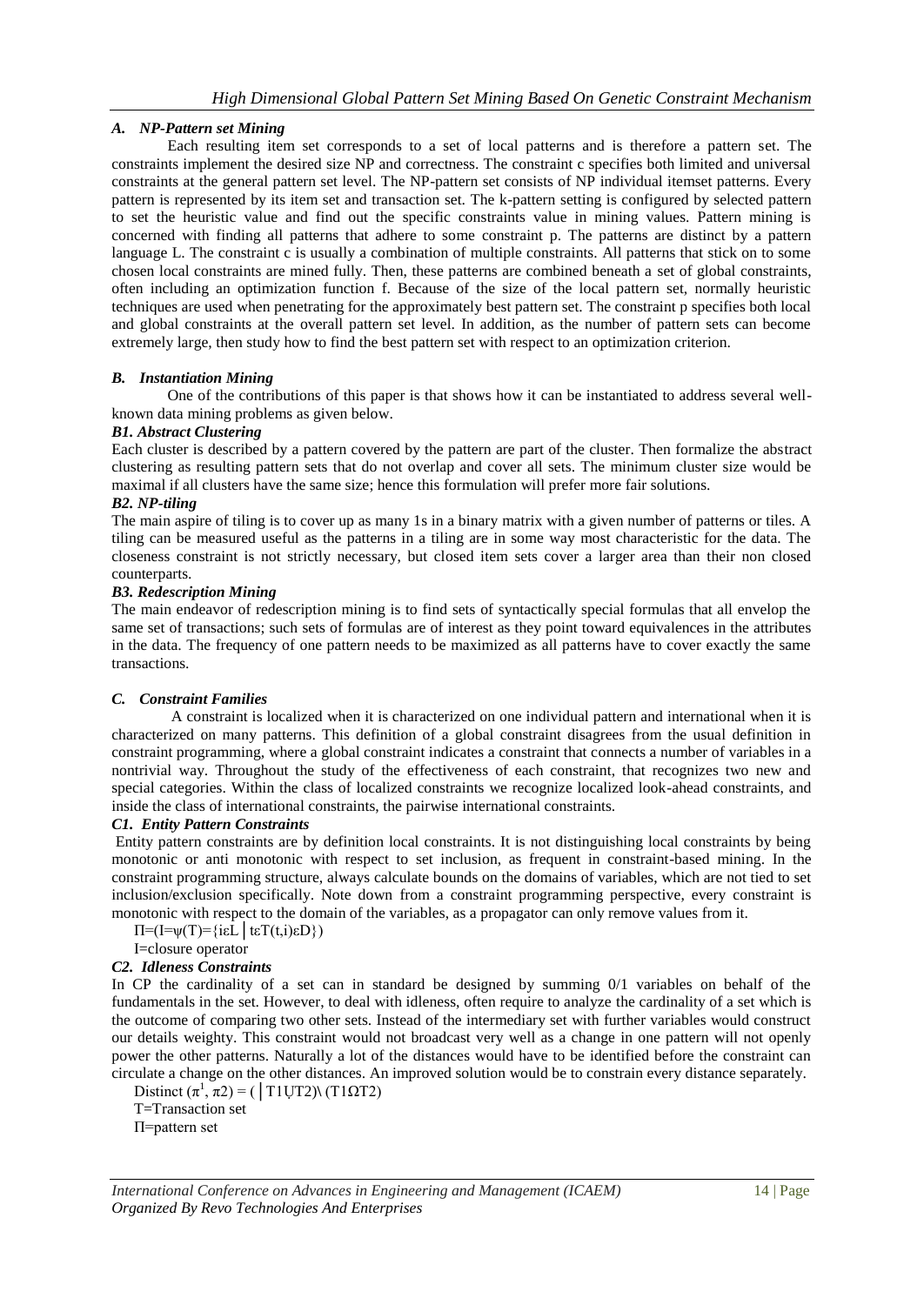# *A. NP-Pattern set Mining*

Each resulting item set corresponds to a set of local patterns and is therefore a pattern set. The constraints implement the desired size NP and correctness. The constraint c specifies both limited and universal constraints at the general pattern set level. The NP-pattern set consists of NP individual itemset patterns. Every pattern is represented by its item set and transaction set. The k-pattern setting is configured by selected pattern to set the heuristic value and find out the specific constraints value in mining values. Pattern mining is concerned with finding all patterns that adhere to some constraint p. The patterns are distinct by a pattern language L. The constraint c is usually a combination of multiple constraints. All patterns that stick on to some chosen local constraints are mined fully. Then, these patterns are combined beneath a set of global constraints, often including an optimization function f. Because of the size of the local pattern set, normally heuristic techniques are used when penetrating for the approximately best pattern set. The constraint p specifies both local and global constraints at the overall pattern set level. In addition, as the number of pattern sets can become extremely large, then study how to find the best pattern set with respect to an optimization criterion.

# *B. Instantiation Mining*

One of the contributions of this paper is that shows how it can be instantiated to address several wellknown data mining problems as given below.

## *B1. Abstract Clustering*

Each cluster is described by a pattern covered by the pattern are part of the cluster. Then formalize the abstract clustering as resulting pattern sets that do not overlap and cover all sets. The minimum cluster size would be maximal if all clusters have the same size; hence this formulation will prefer more fair solutions.

## *B2. NP-tiling*

The main aspire of tiling is to cover up as many 1s in a binary matrix with a given number of patterns or tiles. A tiling can be measured useful as the patterns in a tiling are in some way most characteristic for the data. The closeness constraint is not strictly necessary, but closed item sets cover a larger area than their non closed counterparts.

#### *B3. Redescription Mining*

The main endeavor of redescription mining is to find sets of syntactically special formulas that all envelop the same set of transactions; such sets of formulas are of interest as they point toward equivalences in the attributes in the data. The frequency of one pattern needs to be maximized as all patterns have to cover exactly the same transactions.

## *C. Constraint Families*

A constraint is localized when it is characterized on one individual pattern and international when it is characterized on many patterns. This definition of a global constraint disagrees from the usual definition in constraint programming, where a global constraint indicates a constraint that connects a number of variables in a nontrivial way. Throughout the study of the effectiveness of each constraint, that recognizes two new and special categories. Within the class of localized constraints we recognize localized look-ahead constraints, and inside the class of international constraints, the pairwise international constraints.

## *C1. Entity Pattern Constraints*

Entity pattern constraints are by definition local constraints. It is not distinguishing local constraints by being monotonic or anti monotonic with respect to set inclusion, as frequent in constraint-based mining. In the constraint programming structure, always calculate bounds on the domains of variables, which are not tied to set inclusion/exclusion specifically. Note down from a constraint programming perspective, every constraint is monotonic with respect to the domain of the variables, as a propagator can only remove values from it.

 $\Pi = (I = \psi(T)) = \{i \in L \mid \text{teT}(t, i) \in D\})$ 

## I=closure operator

# *C2. Idleness Constraints*

In CP the cardinality of a set can in standard be designed by summing 0/1 variables on behalf of the fundamentals in the set. However, to deal with idleness, often require to analyze the cardinality of a set which is the outcome of comparing two other sets. Instead of the intermediary set with further variables would construct our details weighty. This constraint would not broadcast very well as a change in one pattern will not openly power the other patterns. Naturally a lot of the distances would have to be identified before the constraint can circulate a change on the other distances. An improved solution would be to constrain every distance separately.

Distinct  $(\pi^1, \pi^2) = (\text{TIUT2}) (\text{TI}\Omega^2)$ 

T=Transaction set

Π=pattern set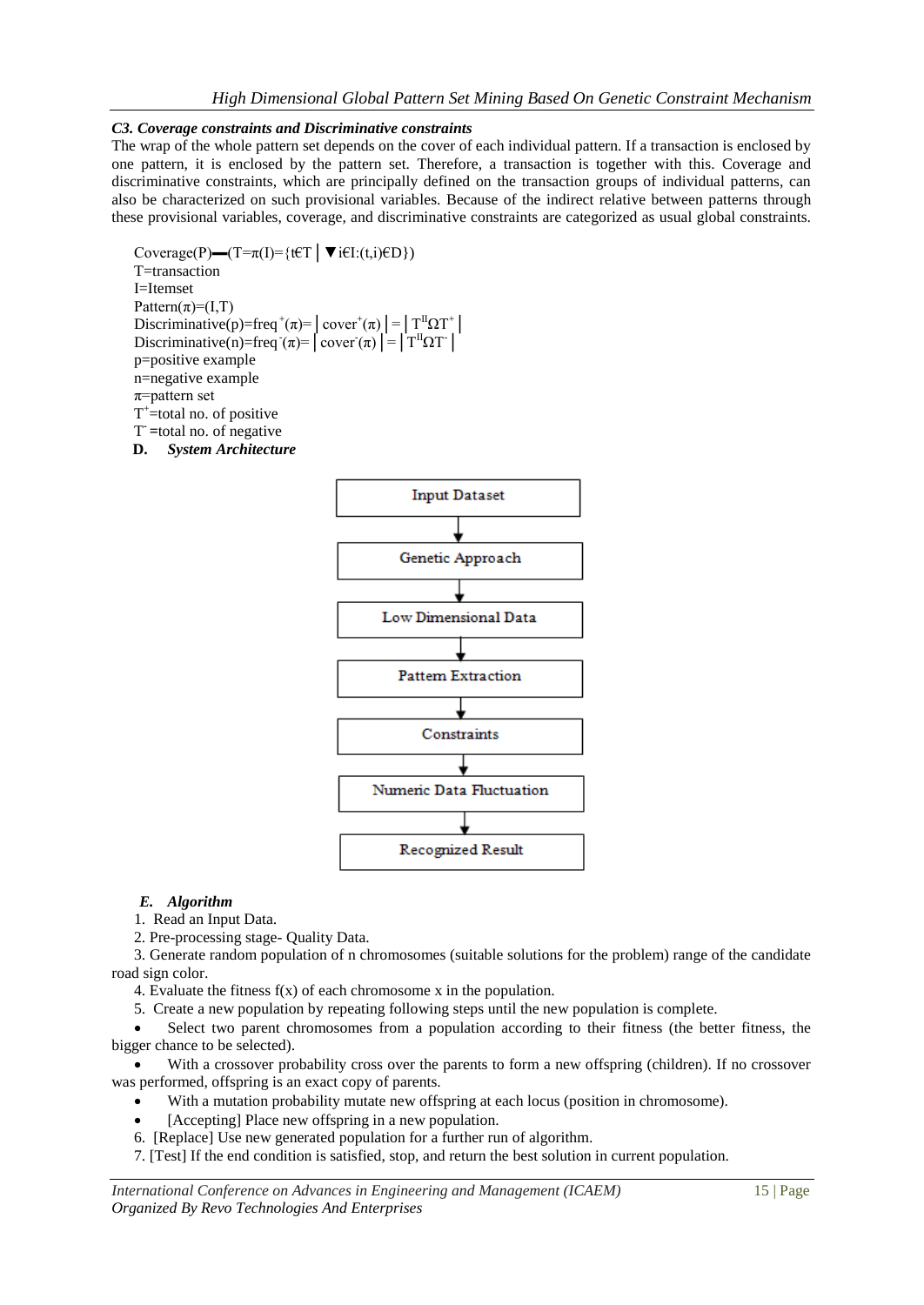## *C3. Coverage constraints and Discriminative constraints*

The wrap of the whole pattern set depends on the cover of each individual pattern. If a transaction is enclosed by one pattern, it is enclosed by the pattern set. Therefore, a transaction is together with this. Coverage and discriminative constraints, which are principally defined on the transaction groups of individual patterns, can also be characterized on such provisional variables. Because of the indirect relative between patterns through these provisional variables, coverage, and discriminative constraints are categorized as usual global constraints.

Coverage(P)—(T= $\pi(I)$ ={t $\in$ T $| \blacktriangledown$ i $\in$ I:(t,i) $\in$ D}) T=transaction I=Itemset Pattern( $\pi$ )=(I,T) Discriminative(p)=freq<sup>+</sup>( $\pi$ )= $|\text{cover}^+(\pi)| = |\text{T}^{\text{II}}\Omega\text{T}^+|$ Discriminative(n)=freq $\tau(\pi)$ = | cover $\tau(\pi)$ | = |  $T^{\text{II}}\Omega T$ | p=positive example n=negative example  $\pi$ =pattern set  $T^*$ =total no. of positive T **- =**total no. of negative

**D.** *System Architecture*



#### *E. Algorithm*

1. Read an Input Data.

2. Pre-processing stage- Quality Data.

3. Generate random population of n chromosomes (suitable solutions for the problem) range of the candidate road sign color.

4. Evaluate the fitness f(x) of each chromosome x in the population.

5. Create a new population by repeating following steps until the new population is complete.

 Select two parent chromosomes from a population according to their fitness (the better fitness, the bigger chance to be selected).

 With a crossover probability cross over the parents to form a new offspring (children). If no crossover was performed, offspring is an exact copy of parents.

With a mutation probability mutate new offspring at each locus (position in chromosome).

- [Accepting] Place new offspring in a new population.
- 6. [Replace] Use new generated population for a further run of algorithm.
- 7. [Test] If the end condition is satisfied, stop, and return the best solution in current population.

*International Conference on Advances in Engineering and Management (ICAEM)* 15 | Page *Organized By Revo Technologies And Enterprises*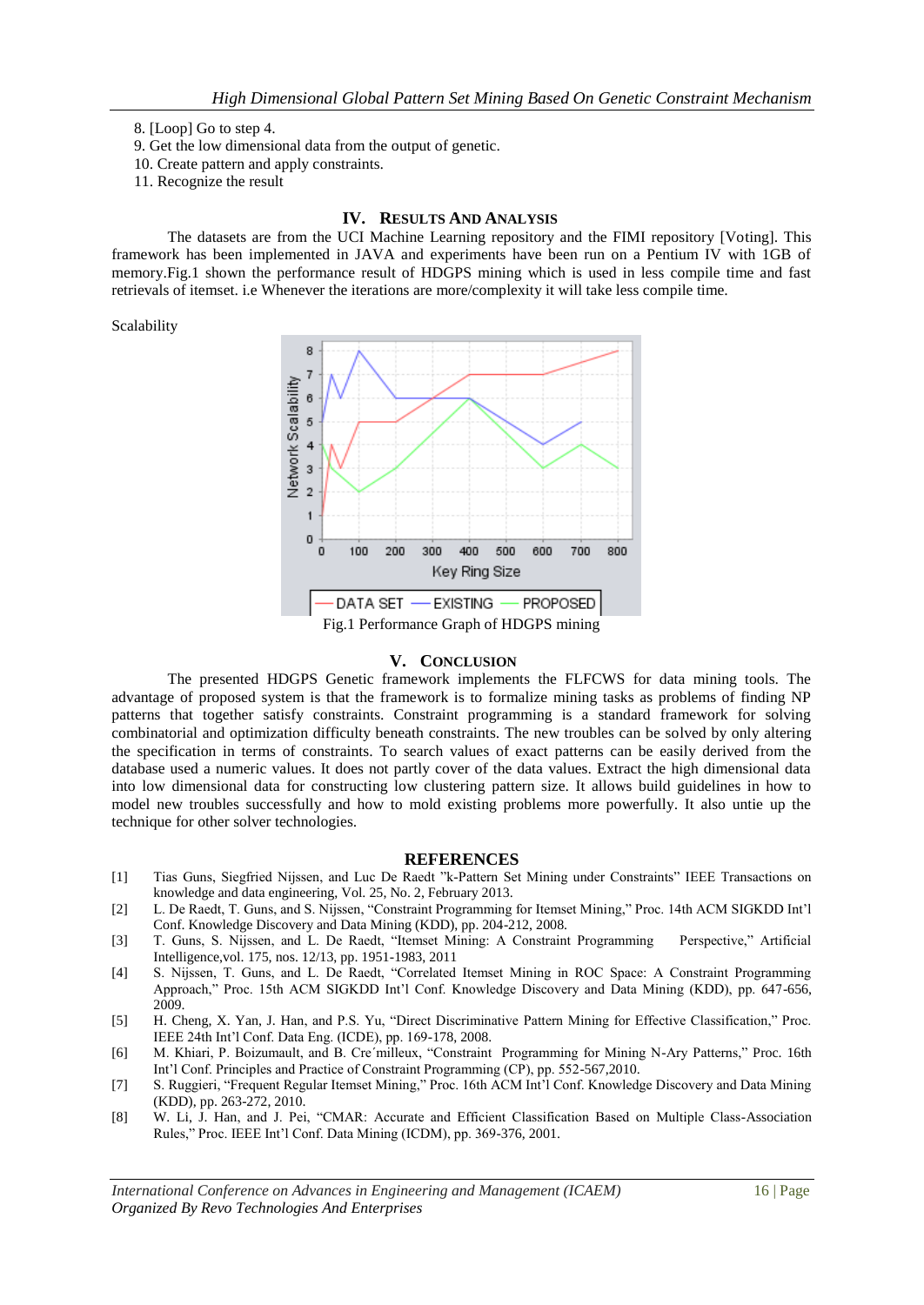8. [Loop] Go to step 4.

- 9. Get the low dimensional data from the output of genetic.
- 10. Create pattern and apply constraints.
- 11. Recognize the result

#### **IV. RESULTS AND ANALYSIS**

The datasets are from the UCI Machine Learning repository and the FIMI repository [Voting]. This framework has been implemented in JAVA and experiments have been run on a Pentium IV with 1GB of memory.Fig.1 shown the performance result of HDGPS mining which is used in less compile time and fast retrievals of itemset. i.e Whenever the iterations are more/complexity it will take less compile time.

#### Scalability



#### **V. CONCLUSION**

The presented HDGPS Genetic framework implements the FLFCWS for data mining tools. The advantage of proposed system is that the framework is to formalize mining tasks as problems of finding NP patterns that together satisfy constraints. Constraint programming is a standard framework for solving combinatorial and optimization difficulty beneath constraints. The new troubles can be solved by only altering the specification in terms of constraints. To search values of exact patterns can be easily derived from the database used a numeric values. It does not partly cover of the data values. Extract the high dimensional data into low dimensional data for constructing low clustering pattern size. It allows build guidelines in how to model new troubles successfully and how to mold existing problems more powerfully. It also untie up the technique for other solver technologies.

#### **REFERENCES**

- [1] Tias Guns, Siegfried Nijssen, and Luc De Raedt "k-Pattern Set Mining under Constraints" IEEE Transactions on knowledge and data engineering, Vol. 25, No. 2, February 2013.
- [2] L. De Raedt, T. Guns, and S. Nijssen, "Constraint Programming for Itemset Mining," Proc. 14th ACM SIGKDD Int'l Conf. Knowledge Discovery and Data Mining (KDD), pp. 204-212, 2008.
- [3] T. Guns, S. Nijssen, and L. De Raedt, "Itemset Mining: A Constraint Programming Perspective," Artificial Intelligence,vol. 175, nos. 12/13, pp. 1951-1983, 2011
- [4] S. Nijssen, T. Guns, and L. De Raedt, "Correlated Itemset Mining in ROC Space: A Constraint Programming Approach," Proc. 15th ACM SIGKDD Int'l Conf. Knowledge Discovery and Data Mining (KDD), pp. 647-656, 2009.
- [5] H. Cheng, X. Yan, J. Han, and P.S. Yu, "Direct Discriminative Pattern Mining for Effective Classification," Proc. IEEE 24th Int'l Conf. Data Eng. (ICDE), pp. 169-178, 2008.
- [6] M. Khiari, P. Boizumault, and B. Cre´milleux, "Constraint Programming for Mining N-Ary Patterns," Proc. 16th Int'l Conf. Principles and Practice of Constraint Programming (CP), pp. 552-567,2010.
- [7] S. Ruggieri, "Frequent Regular Itemset Mining," Proc. 16th ACM Int'l Conf. Knowledge Discovery and Data Mining (KDD), pp. 263-272, 2010.
- [8] W. Li, J. Han, and J. Pei, "CMAR: Accurate and Efficient Classification Based on Multiple Class-Association Rules," Proc. IEEE Int'l Conf. Data Mining (ICDM), pp. 369-376, 2001.